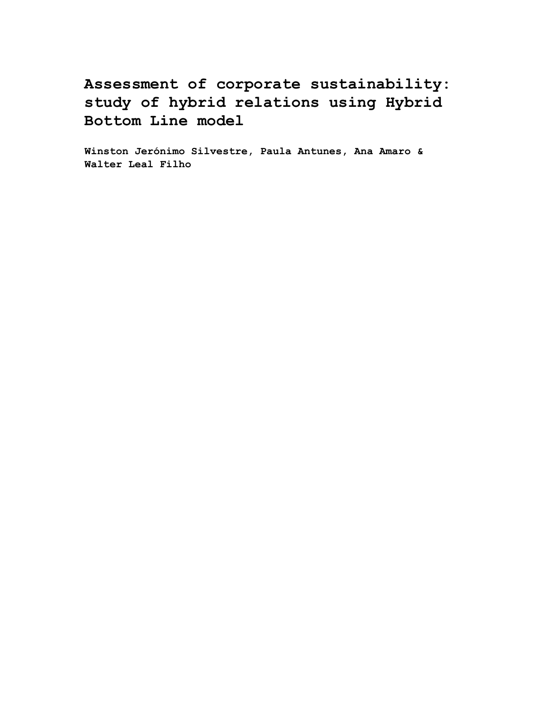**Assessment of corporate sustainability: study of hybrid relations using Hybrid Bottom Line model**

**Winston Jerónimo Silvestre, Paula Antunes, Ana Amaro & Walter Leal Filho**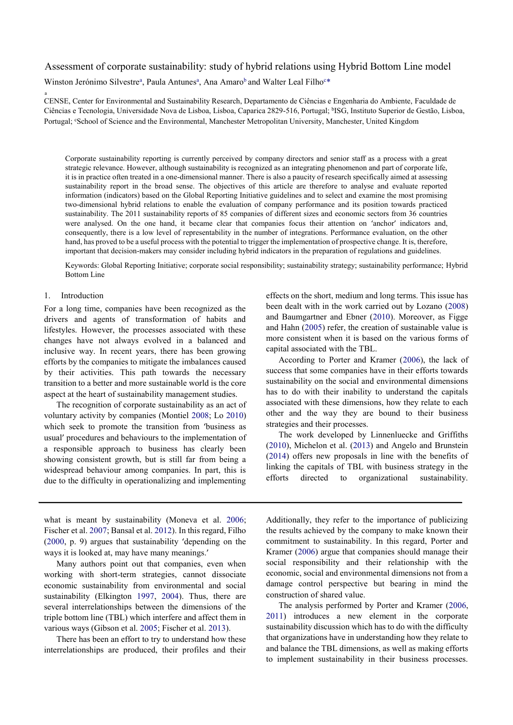# Assessment of corporate sustainability: study of hybrid relations using Hybrid Bottom Line model

Winston Jerónimo Silvestre<sup>a</sup>, Paula Antunes<sup>a</sup>, Ana Amaro<sup>b</sup> and Walter Leal Filho<sup>c\*</sup>

CENSE, Center for Environmental and Sustainability Research, Departamento de Ciências e Engenharia do Ambiente, Faculdade de Ciências e Tecnologia, Universidade Nova de Lisboa, Lisboa, Caparica 2829-516, Portugal; <sup>b</sup>ISG, Instituto Superior de Gestão, Lisboa, Portugal; <sup>c</sup>School of Science and the Environmental, Manchester Metropolitan University, Manchester, United Kingdom

Corporate sustainability reporting is currently perceived by company directors and senior staff as a process with a great strategic relevance. However, although sustainability is recognized as an integrating phenomenon and part of corporate life, it is in practice often treated in a one-dimensional manner. There is also a paucity of research specifically aimed at assessing sustainability report in the broad sense. The objectives of this article are therefore to analyse and evaluate reported information (indicators) based on the Global Reporting Initiative guidelines and to select and examine the most promising two-dimensional hybrid relations to enable the evaluation of company performance and its position towards practiced sustainability. The 2011 sustainability reports of 85 companies of different sizes and economic sectors from 36 countries were analysed. On the one hand, it became clear that companies focus their attention on 'anchor' indicators and, consequently, there is a low level of representability in the number of integrations. Performance evaluation, on the other hand, has proved to be a useful process with the potential to trigger the implementation of prospective change. It is, therefore, important that decision-makers may consider including hybrid indicators in the preparation of regulations and guidelines.

Keywords: Global Reporting Initiative; corporate social responsibility; sustainability strategy; sustainability performance; Hybrid Bottom Line

#### 1. Introduction

a

For a long time, companies have been recognized as the drivers and agents of transformation of habits and lifestyles. However, the processes associated with these changes have not always evolved in a balanced and inclusive way. In recent years, there has been growing efforts by the companies to mitigate the imbalances caused by their activities. This path towards the necessary transition to a better and more sustainable world is the core aspect at the heart of sustainability management studies.

The recognition of corporate sustainability as an act of voluntary activity by companies (Montiel 2008; Lo 2010) which seek to promote the transition from 'business as usual' procedures and behaviours to the implementation of a responsible approach to business has clearly been showing consistent growth, but is still far from being a widespread behaviour among companies. In part, this is due to the difficulty in operationalizing and implementing

what is meant by sustainability (Moneva et al. 2006; Fischer et al. 2007; Bansal et al. 2012). In this regard, Filho (2000, p. 9) argues that sustainability 'depending on the ways it is looked at, may have many meanings.'

Many authors point out that companies, even when working with short-term strategies, cannot dissociate economic sustainability from environmental and social sustainability (Elkington 1997, 2004). Thus, there are several interrelationships between the dimensions of the triple bottom line (TBL) which interfere and affect them in various ways (Gibson et al. 2005; Fischer et al. 2013).

There has been an effort to try to understand how these interrelationships are produced, their profiles and their

effects on the short, medium and long terms. This issue has been dealt with in the work carried out by Lozano (2008) and Baumgartner and Ebner (2010). Moreover, as Figge and Hahn (2005) refer, the creation of sustainable value is more consistent when it is based on the various forms of capital associated with the TBL.

According to Porter and Kramer (2006), the lack of success that some companies have in their efforts towards sustainability on the social and environmental dimensions has to do with their inability to understand the capitals associated with these dimensions, how they relate to each other and the way they are bound to their business strategies and their processes.

The work developed by Linnenluecke and Griffiths (2010), Michelon et al. (2013) and Angelo and Brunstein (2014) offers new proposals in line with the benefits of linking the capitals of TBL with business strategy in the efforts directed to organizational sustainability.

Additionally, they refer to the importance of publicizing the results achieved by the company to make known their commitment to sustainability. In this regard, Porter and Kramer (2006) argue that companies should manage their social responsibility and their relationship with the economic, social and environmental dimensions not from a damage control perspective but bearing in mind the construction of shared value.

The analysis performed by Porter and Kramer (2006, 2011) introduces a new element in the corporate sustainability discussion which has to do with the difficulty that organizations have in understanding how they relate to and balance the TBL dimensions, as well as making efforts to implement sustainability in their business processes.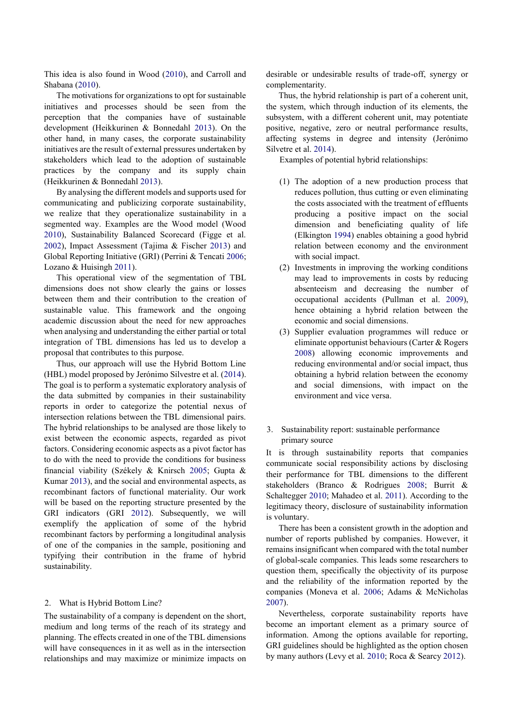This idea is also found in Wood (2010), and Carroll and Shabana (2010).

The motivations for organizations to opt for sustainable initiatives and processes should be seen from the perception that the companies have of sustainable development (Heikkurinen & Bonnedahl 2013). On the other hand, in many cases, the corporate sustainability initiatives are the result of external pressures undertaken by stakeholders which lead to the adoption of sustainable practices by the company and its supply chain (Heikkurinen & Bonnedahl 2013).

By analysing the different models and supports used for communicating and publicizing corporate sustainability, we realize that they operationalize sustainability in a segmented way. Examples are the Wood model (Wood 2010), Sustainability Balanced Scorecard (Figge et al. 2002), Impact Assessment (Tajima & Fischer 2013) and Global Reporting Initiative (GRI) (Perrini & Tencati 2006; Lozano & Huisingh 2011).

This operational view of the segmentation of TBL dimensions does not show clearly the gains or losses between them and their contribution to the creation of sustainable value. This framework and the ongoing academic discussion about the need for new approaches when analysing and understanding the either partial or total integration of TBL dimensions has led us to develop a proposal that contributes to this purpose.

Thus, our approach will use the Hybrid Bottom Line (HBL) model proposed by Jerónimo Silvestre et al. (2014). The goal is to perform a systematic exploratory analysis of the data submitted by companies in their sustainability reports in order to categorize the potential nexus of intersection relations between the TBL dimensional pairs. The hybrid relationships to be analysed are those likely to exist between the economic aspects, regarded as pivot factors. Considering economic aspects as a pivot factor has to do with the need to provide the conditions for business financial viability (Székely & Knirsch 2005; Gupta & Kumar 2013), and the social and environmental aspects, as recombinant factors of functional materiality. Our work will be based on the reporting structure presented by the GRI indicators (GRI 2012). Subsequently, we will exemplify the application of some of the hybrid recombinant factors by performing a longitudinal analysis of one of the companies in the sample, positioning and typifying their contribution in the frame of hybrid sustainability.

#### 2. What is Hybrid Bottom Line?

The sustainability of a company is dependent on the short, medium and long terms of the reach of its strategy and planning. The effects created in one of the TBL dimensions will have consequences in it as well as in the intersection relationships and may maximize or minimize impacts on

desirable or undesirable results of trade-off, synergy or complementarity.

Thus, the hybrid relationship is part of a coherent unit, the system, which through induction of its elements, the subsystem, with a different coherent unit, may potentiate positive, negative, zero or neutral performance results, affecting systems in degree and intensity (Jerónimo Silvetre et al. 2014).

Examples of potential hybrid relationships:

- (1) The adoption of a new production process that reduces pollution, thus cutting or even eliminating the costs associated with the treatment of effluents producing a positive impact on the social dimension and beneficiating quality of life (Elkington 1994) enables obtaining a good hybrid relation between economy and the environment with social impact.
- (2) Investments in improving the working conditions may lead to improvements in costs by reducing absenteeism and decreasing the number of occupational accidents (Pullman et al. 2009), hence obtaining a hybrid relation between the economic and social dimensions.
- (3) Supplier evaluation programmes will reduce or eliminate opportunist behaviours (Carter & Rogers 2008) allowing economic improvements and reducing environmental and/or social impact, thus obtaining a hybrid relation between the economy and social dimensions, with impact on the environment and vice versa.
- 3. Sustainability report: sustainable performance primary source

It is through sustainability reports that companies communicate social responsibility actions by disclosing their performance for TBL dimensions to the different stakeholders (Branco & Rodrigues 2008; Burrit & Schaltegger 2010; Mahadeo et al. 2011). According to the legitimacy theory, disclosure of sustainability information is voluntary.

There has been a consistent growth in the adoption and number of reports published by companies. However, it remains insignificant when compared with the total number of global-scale companies. This leads some researchers to question them, specifically the objectivity of its purpose and the reliability of the information reported by the companies (Moneva et al. 2006; Adams & McNicholas 2007).

Nevertheless, corporate sustainability reports have become an important element as a primary source of information. Among the options available for reporting, GRI guidelines should be highlighted as the option chosen by many authors (Levy et al. 2010; Roca & Searcy 2012).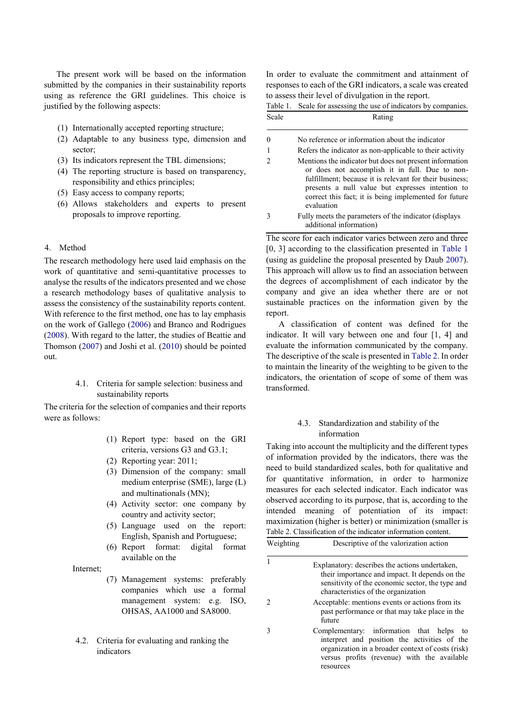The present work will be based on the information submitted by the companies in their sustainability reports using as reference the GRI guidelines. This choice is justified by the following aspects:

- (1) Internationally accepted reporting structure;
- (2) Adaptable to any business type, dimension and sector;
- (3) Its indicators represent the TBL dimensions;
- (4) The reporting structure is based on transparency, responsibility and ethics principles;
- (5) Easy access to company reports;
- (6) Allows stakeholders and experts to present proposals to improve reporting.

#### 4. Method

The research methodology here used laid emphasis on the work of quantitative and semi-quantitative processes to analyse the results of the indicators presented and we chose a research methodology bases of qualitative analysis to assess the consistency of the sustainability reports content. With reference to the first method, one has to lay emphasis on the work of Gallego (2006) and Branco and Rodrigues (2008). With regard to the latter, the studies of Beattie and Thomson (2007) and Joshi et al. (2010) should be pointed out.

> 4.1. Criteria for sample selection: business and sustainability reports

The criteria for the selection of companies and their reports were as follows:

- (1) Report type: based on the GRI criteria, versions G3 and G3.1;
- (2) Reporting year: 2011;
- (3) Dimension of the company: small medium enterprise (SME), large (L) and multinationals (MN);
- (4) Activity sector: one company by country and activity sector;
- (5) Language used on the report: English, Spanish and Portuguese;
- (6) Report format: digital format available on the

Internet;

- (7) Management systems: preferably companies which use a formal management system: e.g. ISO, OHSAS, AA1000 and SA8000.
- 4.2. Criteria for evaluating and ranking the indicators

In order to evaluate the commitment and attainment of responses to each of the GRI indicators, a scale was created to assess their level of divulgation in the report.

|                | Table 1. Scale for assessing the use of indicators by companies.                                                                                                                                                                                                                                |
|----------------|-------------------------------------------------------------------------------------------------------------------------------------------------------------------------------------------------------------------------------------------------------------------------------------------------|
| Scale          | Rating                                                                                                                                                                                                                                                                                          |
| 0              | No reference or information about the indicator                                                                                                                                                                                                                                                 |
| 1              | Refers the indicator as non-applicable to their activity                                                                                                                                                                                                                                        |
| $\mathfrak{D}$ | Mentions the indicator but does not present information<br>or does not accomplish it in full. Due to non-<br>fulfillment; because it is relevant for their business;<br>presents a null value but expresses intention to<br>correct this fact; it is being implemented for future<br>evaluation |
| 3              | Fully meets the parameters of the indicator (displays)<br>additional information)                                                                                                                                                                                                               |

The score for each indicator varies between zero and three [0, 3] according to the classification presented in Table 1 (using as guideline the proposal presented by Daub 2007). This approach will allow us to find an association between the degrees of accomplishment of each indicator by the company and give an idea whether there are or not sustainable practices on the information given by the report.

A classification of content was defined for the indicator. It will vary between one and four [1, 4] and evaluate the information communicated by the company. The descriptive of the scale is presented in Table 2. In order to maintain the linearity of the weighting to be given to the indicators, the orientation of scope of some of them was transformed.

# 4.3. Standardization and stability of the information

Taking into account the multiplicity and the different types of information provided by the indicators, there was the need to build standardized scales, both for qualitative and for quantitative information, in order to harmonize measures for each selected indicator. Each indicator was observed according to its purpose, that is, according to the intended meaning of potentiation of its impact: maximization (higher is better) or minimization (smaller is Table 2. Classification of the indicator information content.

| Weighting | Descriptive of the valorization action                                                                                                                                                                       |  |  |  |  |  |
|-----------|--------------------------------------------------------------------------------------------------------------------------------------------------------------------------------------------------------------|--|--|--|--|--|
|           | Explanatory: describes the actions undertaken,<br>their importance and impact. It depends on the<br>sensitivity of the economic sector, the type and<br>characteristics of the organization                  |  |  |  |  |  |
| 2         | Acceptable: mentions events or actions from its<br>past performance or that may take place in the<br>future                                                                                                  |  |  |  |  |  |
| 3         | Complementary: information that helps<br>to<br>interpret and position the activities of the<br>organization in a broader context of costs (risk)<br>versus profits (revenue) with the available<br>resources |  |  |  |  |  |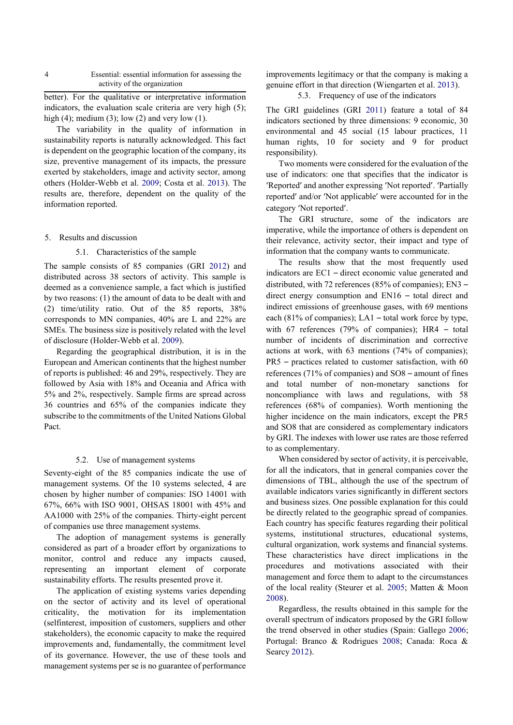better). For the qualitative or interpretative information indicators, the evaluation scale criteria are very high (5); high (4); medium (3); low (2) and very low (1).

The variability in the quality of information in sustainability reports is naturally acknowledged. This fact is dependent on the geographic location of the company, its size, preventive management of its impacts, the pressure exerted by stakeholders, image and activity sector, among others (Holder-Webb et al. 2009; Costa et al. 2013). The results are, therefore, dependent on the quality of the information reported.

#### 5. Results and discussion

## 5.1. Characteristics of the sample

The sample consists of 85 companies (GRI 2012) and distributed across 38 sectors of activity. This sample is deemed as a convenience sample, a fact which is justified by two reasons: (1) the amount of data to be dealt with and (2) time/utility ratio. Out of the 85 reports, 38% corresponds to MN companies, 40% are L and 22% are SMEs. The business size is positively related with the level of disclosure (Holder-Webb et al. 2009).

Regarding the geographical distribution, it is in the European and American continents that the highest number of reports is published: 46 and 29%, respectively. They are followed by Asia with 18% and Oceania and Africa with 5% and 2%, respectively. Sample firms are spread across 36 countries and 65% of the companies indicate they subscribe to the commitments of the United Nations Global Pact.

### 5.2. Use of management systems

Seventy-eight of the 85 companies indicate the use of management systems. Of the 10 systems selected, 4 are chosen by higher number of companies: ISO 14001 with 67%, 66% with ISO 9001, OHSAS 18001 with 45% and AA1000 with 25% of the companies. Thirty-eight percent of companies use three management systems.

The adoption of management systems is generally considered as part of a broader effort by organizations to monitor, control and reduce any impacts caused, representing an important element of corporate sustainability efforts. The results presented prove it.

The application of existing systems varies depending on the sector of activity and its level of operational criticality, the motivation for its implementation (selfinterest, imposition of customers, suppliers and other stakeholders), the economic capacity to make the required improvements and, fundamentally, the commitment level of its governance. However, the use of these tools and management systems per se is no guarantee of performance

improvements legitimacy or that the company is making a genuine effort in that direction (Wiengarten et al. 2013).

# 5.3. Frequency of use of the indicators

The GRI guidelines (GRI 2011) feature a total of 84 indicators sectioned by three dimensions: 9 economic, 30 environmental and 45 social (15 labour practices, 11 human rights, 10 for society and 9 for product responsibility).

Two moments were considered for the evaluation of the use of indicators: one that specifies that the indicator is 'Reported' and another expressing 'Not reported'. 'Partially reported' and/or 'Not applicable' were accounted for in the category 'Not reported'.

The GRI structure, some of the indicators are imperative, while the importance of others is dependent on their relevance, activity sector, their impact and type of information that the company wants to communicate.

The results show that the most frequently used indicators are EC1 – direct economic value generated and distributed, with 72 references (85% of companies); EN3 – direct energy consumption and EN16 – total direct and indirect emissions of greenhouse gases, with 69 mentions each (81% of companies); LA1 – total work force by type, with 67 references (79% of companies): HR4 – total number of incidents of discrimination and corrective actions at work, with 63 mentions (74% of companies); PR5 – practices related to customer satisfaction, with 60 references (71% of companies) and SO8 – amount of fines and total number of non-monetary sanctions for noncompliance with laws and regulations, with 58 references (68% of companies). Worth mentioning the higher incidence on the main indicators, except the PR5 and SO8 that are considered as complementary indicators by GRI. The indexes with lower use rates are those referred to as complementary.

When considered by sector of activity, it is perceivable, for all the indicators, that in general companies cover the dimensions of TBL, although the use of the spectrum of available indicators varies significantly in different sectors and business sizes. One possible explanation for this could be directly related to the geographic spread of companies. Each country has specific features regarding their political systems, institutional structures, educational systems, cultural organization, work systems and financial systems. These characteristics have direct implications in the procedures and motivations associated with their management and force them to adapt to the circumstances of the local reality (Steurer et al. 2005; Matten & Moon 2008).

Regardless, the results obtained in this sample for the overall spectrum of indicators proposed by the GRI follow the trend observed in other studies (Spain: Gallego 2006; Portugal: Branco & Rodrigues 2008; Canada: Roca & Searcy 2012).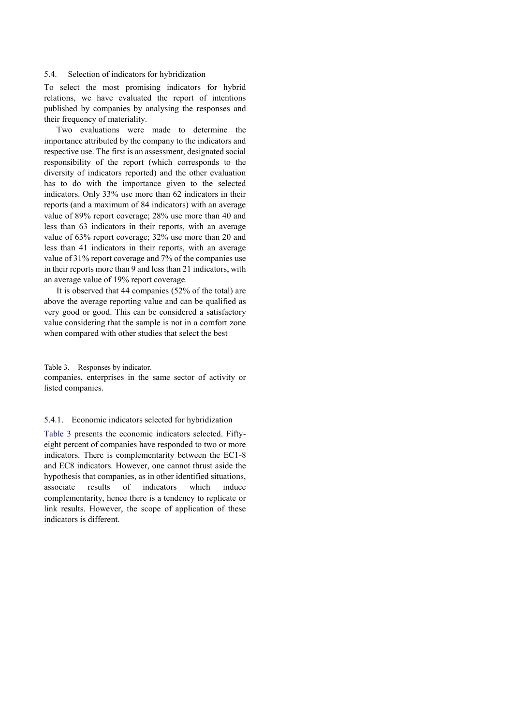### 5.4. Selection of indicators for hybridization

To select the most promising indicators for hybrid relations, we have evaluated the report of intentions published by companies by analysing the responses and their frequency of materiality.

Two evaluations were made to determine the importance attributed by the company to the indicators and respective use. The first is an assessment, designated social responsibility of the report (which corresponds to the diversity of indicators reported) and the other evaluation has to do with the importance given to the selected indicators. Only 33% use more than 62 indicators in their reports (and a maximum of 84 indicators) with an average value of 89% report coverage; 28% use more than 40 and less than 63 indicators in their reports, with an average value of 63% report coverage; 32% use more than 20 and less than 41 indicators in their reports, with an average value of 31% report coverage and 7% of the companies use in their reports more than 9 and less than 21 indicators, with an average value of 19% report coverage.

It is observed that 44 companies (52% of the total) are above the average reporting value and can be qualified as very good or good. This can be considered a satisfactory value considering that the sample is not in a comfort zone when compared with other studies that select the best

Table 3. Responses by indicator.

companies, enterprises in the same sector of activity or listed companies.

5.4.1. Economic indicators selected for hybridization

Table 3 presents the economic indicators selected. Fiftyeight percent of companies have responded to two or more indicators. There is complementarity between the EC1-8 and EC8 indicators. However, one cannot thrust aside the hypothesis that companies, as in other identified situations, associate results of indicators which induce complementarity, hence there is a tendency to replicate or link results. However, the scope of application of these indicators is different.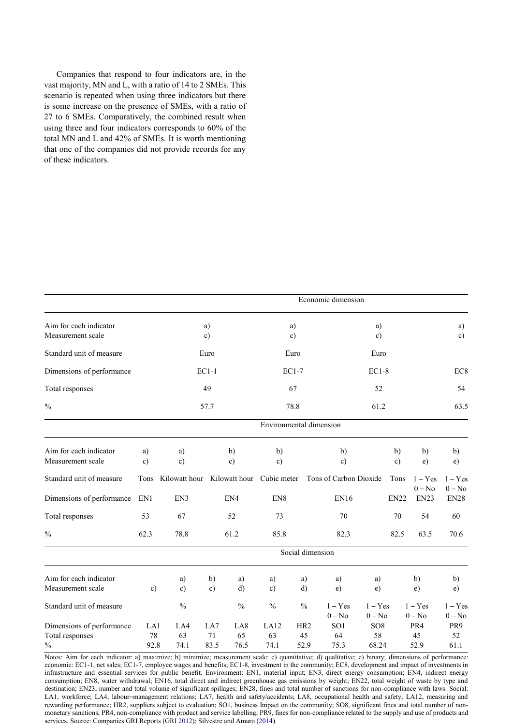Companies that respond to four indicators are, in the vast majority, MN and L, with a ratio of 14 to 2 SMEs. This scenario is repeated when using three indicators but there is some increase on the presence of SMEs, with a ratio of 27 to 6 SMEs. Comparatively, the combined result when using three and four indicators corresponds to 60% of the total MN and L and 42% of SMEs. It is worth mentioning that one of the companies did not provide records for any of these indicators.

|                                             | Economic dimension |                     |                     |                     |                         |                  |                        |                       |          |                       |                       |
|---------------------------------------------|--------------------|---------------------|---------------------|---------------------|-------------------------|------------------|------------------------|-----------------------|----------|-----------------------|-----------------------|
| Aim for each indicator<br>Measurement scale |                    | a)<br>$\mathbf{c})$ |                     | a)<br>$\mathbf{c})$ |                         |                  | a)<br>c)               |                       |          | a)<br>$\circ$ )       |                       |
| Standard unit of measure                    |                    | Euro                |                     | Euro                |                         |                  | Euro                   |                       |          |                       |                       |
| Dimensions of performance                   |                    |                     | $EC1-1$             |                     |                         | EC1-7            |                        | $EC1-8$               |          |                       | EC8                   |
| Total responses                             |                    |                     | 49                  |                     |                         | 67               |                        | 52                    |          |                       | 54                    |
| $\%$                                        |                    |                     | 57.7                |                     |                         | 78.8             |                        | 61.2                  |          |                       | 63.5                  |
|                                             |                    |                     |                     |                     | Environmental dimension |                  |                        |                       |          |                       |                       |
| Aim for each indicator<br>Measurement scale | a)<br>c)           | a)<br>c)            |                     | b)<br>$\mathbf{c})$ | $\mathbf{b}$<br>c)      |                  | b)<br>$\mathbf{c})$    |                       | b)<br>c) | b)<br>e)              | b)<br>e)              |
| Standard unit of measure                    |                    | Tons Kilowatt hour  |                     | Kilowatt hour       | Cubic meter             |                  | Tons of Carbon Dioxide |                       | Tons     | $1 - Yes$<br>$0 - No$ | $1 - Yes$<br>$0 - No$ |
| Dimensions of performance                   | EN1                | EN3                 |                     | EN4                 | EN <sub>8</sub>         |                  |                        | <b>EN22</b><br>EN16   |          | EN23                  | EN28                  |
| Total responses                             | 53                 | 67                  |                     | 52                  | 73                      |                  | 70                     |                       | 70       | 54                    | 60                    |
| $\frac{0}{0}$                               | 62.3               | 78.8                |                     | 61.2                | 85.8                    |                  | 82.3                   |                       | 82.5     | 63.5                  | 70.6                  |
|                                             |                    |                     |                     |                     |                         | Social dimension |                        |                       |          |                       |                       |
| Aim for each indicator<br>Measurement scale | $\mathbf{c})$      | a)<br>$\mathbf{c})$ | b)<br>$\mathbf{c})$ | a)<br>d)            | a)<br>$\mathbf{c})$     | a)<br>d)         | a)<br>e)               | a)<br>e)              |          | b)<br>e)              | b)<br>e)              |
| Standard unit of measure                    |                    | $\frac{0}{0}$       |                     | $\frac{0}{0}$       | $\frac{0}{0}$           | $\frac{0}{0}$    | $1 - Yes$<br>$0 - No$  | $1 - Yes$<br>$0 - No$ |          | $1 - Yes$<br>$0 - No$ | $1 - Yes$<br>$0 - No$ |
| Dimensions of performance                   | LA1                | LA4                 | LA7                 | LA8                 | LA12                    | HR <sub>2</sub>  | SO <sub>1</sub>        | SO <sub>8</sub>       |          | PR4                   | PR9                   |
| Total responses<br>$\frac{0}{0}$            | 78<br>92.8         | 63<br>74.1          | 71<br>83.5          | 65<br>76.5          | 63<br>74.1              | 45<br>52.9       | 64<br>75.3             | 58<br>68.24           |          | 45<br>52.9            | 52<br>61.1            |

Notes: Aim for each indicator: a) maximize; b) minimize; measurement scale: c) quantitative; d) qualitative; e) binary; dimensions of performance: economic: EC1-1, net sales; EC1-7, employee wages and benefits; EC1-8, investment in the community; EC8, development and impact of investments in infrastructure and essential services for public benefit. Environment: EN1, material input; EN3, direct energy consumption; EN4, indirect energy consumption; EN8, water withdrawal; EN16, total direct and indirect greenhouse gas emissions by weight; EN22, total weight of waste by type and destination; EN23, number and total volume of significant spillages; EN28, fines and total number of sanctions for non-compliance with laws. Social: LA1, workforce; LA4, labour-management relations; LA7, health and safety/accidents; LA8, occupational health and safety; LA12, measuring and rewarding performance; HR2, suppliers subject to evaluation; SO1, business Impact on the community; SO8, significant fines and total number of nonmonetary sanctions; PR4, non-compliance with product and service labelling; PR9, fines for non-compliance related to the supply and use of products and services. Source: Companies GRI Reports (GRI 2012); Silvestre and Amaro (2014).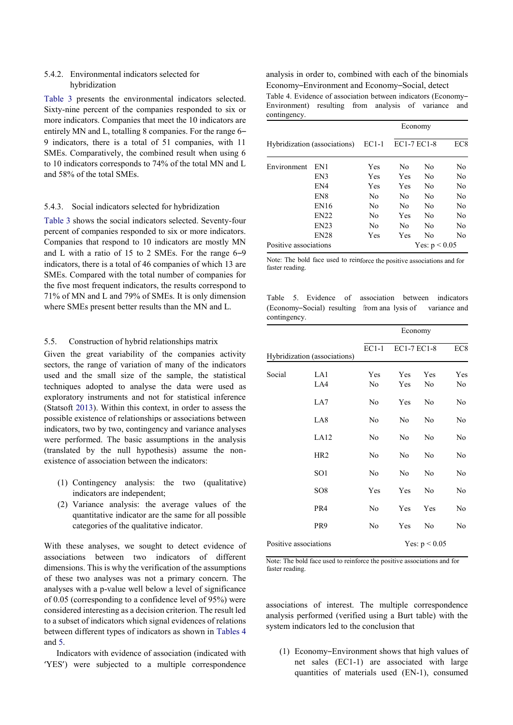# 5.4.2. Environmental indicators selected for hybridization

Table 3 presents the environmental indicators selected. Sixty-nine percent of the companies responded to six or more indicators. Companies that meet the 10 indicators are entirely MN and L, totalling 8 companies. For the range 6– 9 indicators, there is a total of 51 companies, with 11 SMEs. Comparatively, the combined result when using 6 to 10 indicators corresponds to 74% of the total MN and L and 58% of the total SMEs.

# 5.4.3. Social indicators selected for hybridization

Table 3 shows the social indicators selected. Seventy-four percent of companies responded to six or more indicators. Companies that respond to 10 indicators are mostly MN and L with a ratio of 15 to 2 SMEs. For the range 6–9 indicators, there is a total of 46 companies of which 13 are SMEs. Compared with the total number of companies for the five most frequent indicators, the results correspond to 71% of MN and L and 79% of SMEs. It is only dimension where SMEs present better results than the MN and L.

## 5.5. Construction of hybrid relationships matrix

Given the great variability of the companies activity sectors, the range of variation of many of the indicators used and the small size of the sample, the statistical techniques adopted to analyse the data were used as exploratory instruments and not for statistical inference (Statsoft 2013). Within this context, in order to assess the possible existence of relationships or associations between indicators, two by two, contingency and variance analyses were performed. The basic assumptions in the analysis (translated by the null hypothesis) assume the nonexistence of association between the indicators:

- (1) Contingency analysis: the two (qualitative) indicators are independent;
- (2) Variance analysis: the average values of the quantitative indicator are the same for all possible categories of the qualitative indicator.

With these analyses, we sought to detect evidence of associations between two indicators of different dimensions. This is why the verification of the assumptions of these two analyses was not a primary concern. The analyses with a p-value well below a level of significance of 0.05 (corresponding to a confidence level of 95%) were considered interesting as a decision criterion. The result led to a subset of indicators which signal evidences of relations between different types of indicators as shown in Tables 4 and 5.

Indicators with evidence of association (indicated with 'YES') were subjected to a multiple correspondence

analysis in order to, combined with each of the binomials Economy–Environment and Economy–Social, detect

Table 4. Evidence of association between indicators (Economy-Environment) resulting from analysis of variance and contingency.

|                              |                 | Economy        |                 |                |    |  |  |  |
|------------------------------|-----------------|----------------|-----------------|----------------|----|--|--|--|
| Hybridization (associations) |                 | EC1-1          |                 | EC1-7 EC1-8    |    |  |  |  |
| Environment                  | EN1             | Yes            | N <sub>0</sub>  | N <sub>0</sub> | No |  |  |  |
|                              | EN3             | Yes            | Yes             | N <sub>0</sub> | No |  |  |  |
|                              | EN4             | Yes            | Yes             | N <sub>0</sub> | No |  |  |  |
|                              | EN <sub>8</sub> | N <sub>0</sub> | N <sub>0</sub>  | N <sub>0</sub> | No |  |  |  |
|                              | <b>EN16</b>     | N <sub>0</sub> | N <sub>0</sub>  | No             | No |  |  |  |
|                              | <b>EN22</b>     | N <sub>0</sub> | Yes             | N <sub>0</sub> | No |  |  |  |
|                              | EN23            | N <sub>0</sub> | N <sub>0</sub>  | N <sub>0</sub> | No |  |  |  |
|                              | <b>EN28</b>     | Yes            | Yes             | N <sub>0</sub> | No |  |  |  |
| Positive associations        |                 |                | Yes: $p < 0.05$ |                |    |  |  |  |

Note: The bold face used to reinforce the positive associations and for faster reading.

|              |  |  | Table 5. Evidence of association between indicators       |  |
|--------------|--|--|-----------------------------------------------------------|--|
|              |  |  | (Economy-Social) resulting from ana lysis of variance and |  |
| contingency. |  |  |                                                           |  |

|                              |                 | Economy   |             |                 |           |  |  |  |  |
|------------------------------|-----------------|-----------|-------------|-----------------|-----------|--|--|--|--|
| Hybridization (associations) |                 | $EC1-1$   | EC1-7 EC1-8 |                 | EC8       |  |  |  |  |
| Social                       | LA1<br>LA4      | Yes<br>No | Yes<br>Yes  | Yes<br>No       | Yes<br>No |  |  |  |  |
|                              | LA7             | No        | Yes         | No              | No        |  |  |  |  |
|                              | LA8             | No        | No          | No              | No        |  |  |  |  |
|                              | LA12            | No        | No          | No              | No        |  |  |  |  |
|                              | HR <sub>2</sub> | No        | No          | No              | No        |  |  |  |  |
|                              | SO <sub>1</sub> | No        | No          | No              | No        |  |  |  |  |
|                              | SO <sub>8</sub> | Yes       | Yes         | No              | No        |  |  |  |  |
|                              | PR4             | No        | Yes         | Yes             | No        |  |  |  |  |
|                              | PR <sub>9</sub> | No        | Yes         | No              | No        |  |  |  |  |
| Positive associations        |                 |           |             | Yes: $p < 0.05$ |           |  |  |  |  |

Note: The bold face used to reinforce the positive associations and for faster reading.

associations of interest. The multiple correspondence analysis performed (verified using a Burt table) with the system indicators led to the conclusion that

(1) Economy‒Environment shows that high values of net sales (EC1-1) are associated with large quantities of materials used (EN-1), consumed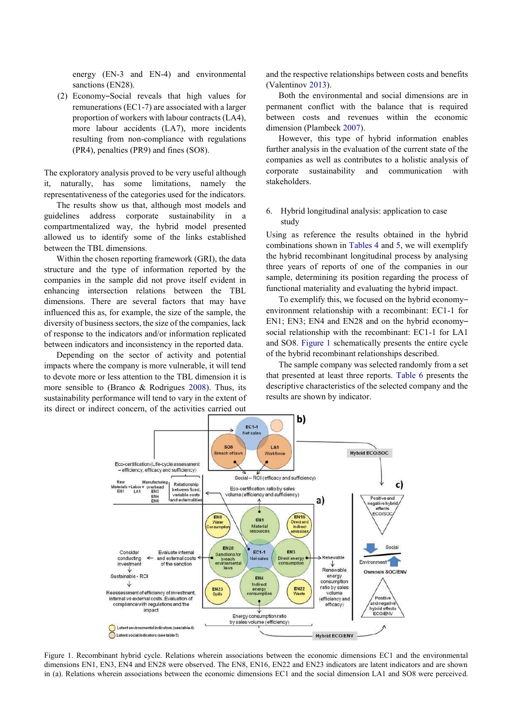energy (EN-3 and EN-4) and environmental sanctions (EN28).

(2) Economy‒Social reveals that high values for remunerations (EC1-7) are associated with a larger proportion of workers with labour contracts (LA4), more labour accidents (LA7), more incidents resulting from non-compliance with regulations (PR4), penalties (PR9) and fines (SO8).

The exploratory analysis proved to be very useful although it, naturally, has some limitations, namely the representativeness of the categories used for the indicators.

The results show us that, although most models and guidelines address corporate sustainability in a compartmentalized way, the hybrid model presented allowed us to identify some of the links established between the TBL dimensions.

Within the chosen reporting framework (GRI), the data structure and the type of information reported by the companies in the sample did not prove itself evident in enhancing intersection relations between the TBL dimensions. There are several factors that may have influenced this as, for example, the size of the sample, the diversity of business sectors, the size of the companies, lack of response to the indicators and/or information replicated between indicators and inconsistency in the reported data.

Depending on the sector of activity and potential impacts where the company is more vulnerable, it will tend to devote more or less attention to the TBL dimension it is more sensible to (Branco & Rodrigues 2008). Thus, its sustainability performance will tend to vary in the extent of its direct or indirect concern, of the activities carried out

and the respective relationships between costs and benefits (Valentinov 2013).

Both the environmental and social dimensions are in permanent conflict with the balance that is required between costs and revenues within the economic dimension (Plambeck 2007).

However, this type of hybrid information enables further analysis in the evaluation of the current state of the companies as well as contributes to a holistic analysis of corporate sustainability and communication with stakeholders.

## 6. Hybrid longitudinal analysis: application to case study

Using as reference the results obtained in the hybrid combinations shown in Tables 4 and 5, we will exemplify the hybrid recombinant longitudinal process by analysing three years of reports of one of the companies in our sample, determining its position regarding the process of functional materiality and evaluating the hybrid impact.

To exemplify this, we focused on the hybrid economyenvironment relationship with a recombinant: EC1-1 for EN1; EN3; EN4 and EN28 and on the hybrid economy– social relationship with the recombinant: EC1-1 for LA1 and SO8. Figure 1 schematically presents the entire cycle of the hybrid recombinant relationships described.

The sample company was selected randomly from a set that presented at least three reports. Table 6 presents the descriptive characteristics of the selected company and the results are shown by indicator.



Figure 1. Recombinant hybrid cycle. Relations wherein associations between the economic dimensions EC1 and the environmental dimensions EN1, EN3, EN4 and EN28 were observed. The EN8, EN16, EN22 and EN23 indicators are latent indicators and are shown in (a). Relations wherein associations between the economic dimensions EC1 and the social dimension LA1 and SO8 were perceived.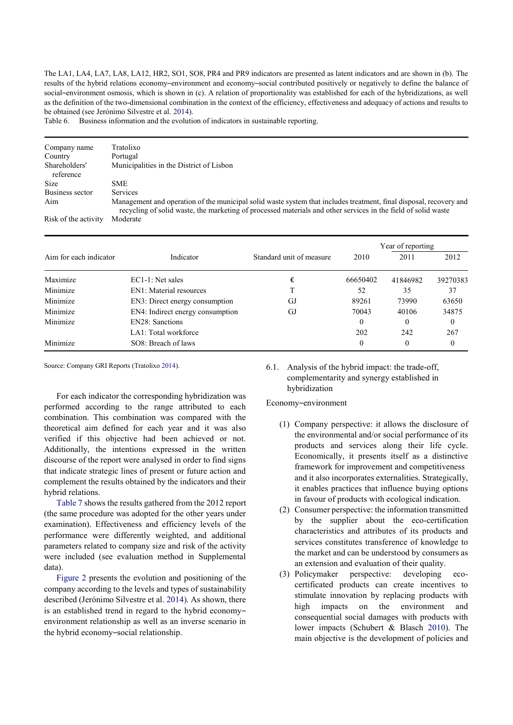The LA1, LA4, LA7, LA8, LA12, HR2, SO1, SO8, PR4 and PR9 indicators are presented as latent indicators and are shown in (b). The results of the hybrid relations economy–environment and economy–social contributed positively or negatively to define the balance of social–environment osmosis, which is shown in (c). A relation of proportionality was established for each of the hybridizations, as well as the definition of the two-dimensional combination in the context of the efficiency, effectiveness and adequacy of actions and results to be obtained (see Jerónimo Silvestre et al. 2014).

Table 6. Business information and the evolution of indicators in sustainable reporting.

| Company name               | Tratolixo                                                                                                                                                                                                                           |
|----------------------------|-------------------------------------------------------------------------------------------------------------------------------------------------------------------------------------------------------------------------------------|
| Country                    | Portugal                                                                                                                                                                                                                            |
| Shareholders'<br>reference | Municipalities in the District of Lisbon                                                                                                                                                                                            |
| <b>Size</b>                | <b>SME</b>                                                                                                                                                                                                                          |
| Business sector            | <b>Services</b>                                                                                                                                                                                                                     |
| Aim                        | Management and operation of the municipal solid waste system that includes treatment, final disposal, recovery and<br>recycling of solid waste, the marketing of processed materials and other services in the field of solid waste |
| Risk of the activity       | Moderate                                                                                                                                                                                                                            |

|                        |                                  |                          | Year of reporting |          |          |  |  |
|------------------------|----------------------------------|--------------------------|-------------------|----------|----------|--|--|
| Aim for each indicator | Indicator                        | Standard unit of measure | 2010              | 2011     | 2012     |  |  |
| Maximize               | $EC1-1$ : Net sales              | €                        | 66650402          | 41846982 | 39270383 |  |  |
| Minimize               | EN1: Material resources          |                          | 52                | 35       | 37       |  |  |
| Minimize               | EN3: Direct energy consumption   | GJ                       | 89261             | 73990    | 63650    |  |  |
| Minimize               | EN4: Indirect energy consumption | GJ                       | 70043             | 40106    | 34875    |  |  |
| Minimize               | EN28: Sanctions                  |                          | $\theta$          | $\theta$ | $\theta$ |  |  |
|                        | LA1: Total workforce             |                          | 202               | 242      | 267      |  |  |
| Minimize               | SO8: Breach of laws              |                          | $\Omega$          | $\theta$ | $\theta$ |  |  |

Source: Company GRI Reports (Tratolixo 2014).

For each indicator the corresponding hybridization was performed according to the range attributed to each combination. This combination was compared with the theoretical aim defined for each year and it was also verified if this objective had been achieved or not. Additionally, the intentions expressed in the written discourse of the report were analysed in order to find signs that indicate strategic lines of present or future action and complement the results obtained by the indicators and their hybrid relations.

Table 7 shows the results gathered from the 2012 report (the same procedure was adopted for the other years under examination). Effectiveness and efficiency levels of the performance were differently weighted, and additional parameters related to company size and risk of the activity were included (see evaluation method in Supplemental data).

Figure 2 presents the evolution and positioning of the company according to the levels and types of sustainability described (Jerónimo Silvestre et al. 2014). As shown, there is an established trend in regard to the hybrid economyenvironment relationship as well as an inverse scenario in the hybrid economy-social relationship.

# 6.1. Analysis of the hybrid impact: the trade-off, complementarity and synergy established in hybridization

Economy-environment

- (1) Company perspective: it allows the disclosure of the environmental and/or social performance of its products and services along their life cycle. Economically, it presents itself as a distinctive framework for improvement and competitiveness and it also incorporates externalities. Strategically, it enables practices that influence buying options in favour of products with ecological indication.
- (2) Consumer perspective: the information transmitted by the supplier about the eco-certification characteristics and attributes of its products and services constitutes transference of knowledge to the market and can be understood by consumers as an extension and evaluation of their quality.
- (3) Policymaker perspective: developing ecocertificated products can create incentives to stimulate innovation by replacing products with high impacts on the environment and consequential social damages with products with lower impacts (Schubert & Blasch 2010). The main objective is the development of policies and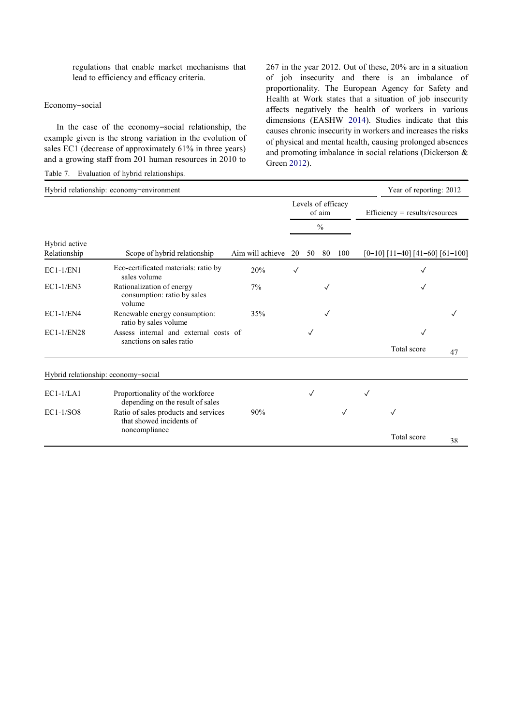regulations that enable market mechanisms that lead to efficiency and efficacy criteria.

### Economy-social

In the case of the economy-social relationship, the example given is the strong variation in the evolution of sales EC1 (decrease of approximately 61% in three years) and a growing staff from 201 human resources in 2010 to

Table 7. Evaluation of hybrid relationships.

267 in the year 2012. Out of these, 20% are in a situation of job insecurity and there is an imbalance of proportionality. The European Agency for Safety and Health at Work states that a situation of job insecurity affects negatively the health of workers in various dimensions (EASHW 2014). Studies indicate that this causes chronic insecurity in workers and increases the risks of physical and mental health, causing prolonged absences and promoting imbalance in social relations (Dickerson & Green 2012).

|                               | Hybrid relationship: economy-environment                             |                  |               |    |        |                    |                                  | Year of reporting: 2012           |    |
|-------------------------------|----------------------------------------------------------------------|------------------|---------------|----|--------|--------------------|----------------------------------|-----------------------------------|----|
|                               |                                                                      |                  |               |    | of aim | Levels of efficacy | $Efficiency = results/resources$ |                                   |    |
|                               |                                                                      |                  | $\frac{0}{0}$ |    |        |                    |                                  |                                   |    |
| Hybrid active<br>Relationship | Scope of hybrid relationship                                         | Aim will achieve | 20            | 50 | 80     | 100                |                                  | $[0-10]$ [11-40] [41-60] [61-100] |    |
| $EC1-1/EN1$                   | Eco-certificated materials: ratio by<br>sales volume                 | 20%              | $\checkmark$  |    |        |                    |                                  | $\checkmark$                      |    |
| $EC1-1/EN3$                   | Rationalization of energy<br>consumption: ratio by sales<br>volume   | 7%               |               |    |        |                    |                                  |                                   |    |
| $EC1-1/EN4$                   | Renewable energy consumption:<br>ratio by sales volume               | 35%              |               |    |        |                    |                                  |                                   |    |
| <b>EC1-1/EN28</b>             | Assess internal and external costs of<br>sanctions on sales ratio    |                  |               |    |        |                    |                                  | $\checkmark$<br>Total score       |    |
|                               |                                                                      |                  |               |    |        |                    |                                  |                                   | 47 |
|                               | Hybrid relationship: economy-social                                  |                  |               |    |        |                    |                                  |                                   |    |
| $EC1-1/LA1$                   | Proportionality of the workforce<br>depending on the result of sales |                  |               | ✓  |        |                    | ✓                                |                                   |    |
| $EC1-1/SO8$                   | Ratio of sales products and services<br>that showed incidents of     | 90%              |               |    |        |                    |                                  | ✓                                 |    |
|                               | noncompliance                                                        |                  |               |    |        |                    |                                  | Total score                       | 38 |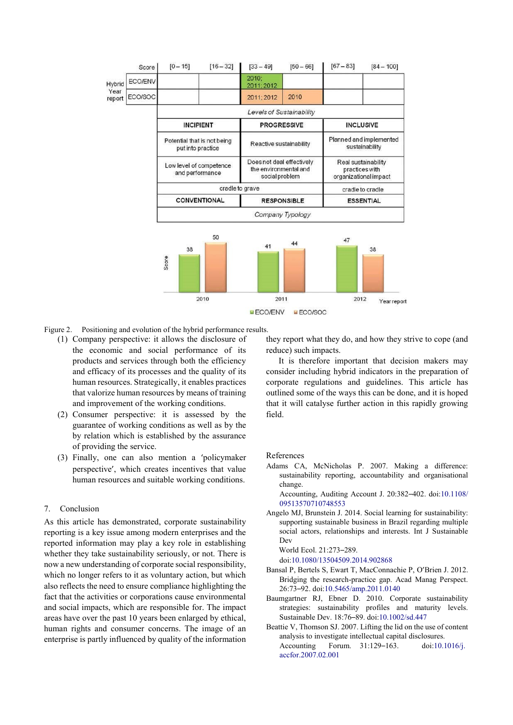

Figure 2. Positioning and evolution of the hybrid performance results.

- (1) Company perspective: it allows the disclosure of the economic and social performance of its products and services through both the efficiency and efficacy of its processes and the quality of its human resources. Strategically, it enables practices that valorize human resources by means of training and improvement of the working conditions.
- (2) Consumer perspective: it is assessed by the guarantee of working conditions as well as by the by relation which is established by the assurance of providing the service.
- (3) Finally, one can also mention a 'policymaker perspective', which creates incentives that value human resources and suitable working conditions.

### 7. Conclusion

As this article has demonstrated, corporate sustainability reporting is a key issue among modern enterprises and the reported information may play a key role in establishing whether they take sustainability seriously, or not. There is now a new understanding of corporate social responsibility, which no longer refers to it as voluntary action, but which also reflects the need to ensure compliance highlighting the fact that the activities or corporations cause environmental and social impacts, which are responsible for. The impact areas have over the past 10 years been enlarged by ethical, human rights and consumer concerns. The image of an enterprise is partly influenced by quality of the information

they report what they do, and how they strive to cope (and reduce) such impacts.

It is therefore important that decision makers may consider including hybrid indicators in the preparation of corporate regulations and guidelines. This article has outlined some of the ways this can be done, and it is hoped that it will catalyse further action in this rapidly growing field.

### References

Adams CA, McNicholas P. 2007. Making a difference: sustainability reporting, accountability and organisational change.

Accounting, Auditing Account J. 20:382–402. do[i:10.1108/](http://dx.doi.org/10.1108/09513570710748553)  [09513570710748553](http://dx.doi.org/10.1108/09513570710748553)

Angelo MJ, Brunstein J. 2014. Social learning for sustainability: supporting sustainable business in Brazil regarding multiple social actors, relationships and interests. Int J Sustainable Dev

World Ecol. 21:273–289.

doi[:10.1080/13504509.2014.902868](http://dx.doi.org/10.1080/13504509.2014.902868)

- Bansal P, Bertels S, Ewart T, MacConnachie P, O'Brien J. 2012. Bridging the research-practice gap. Acad Manag Perspect. 26:73–92. doi[:10.5465/amp.2011.0140](http://dx.doi.org/10.5465/amp.2011.0140)
- Baumgartner RJ, Ebner D. 2010. Corporate sustainability strategies: sustainability profiles and maturity levels. Sustainable Dev. 18:76–89. doi[:10.1002/sd.447](http://dx.doi.org/10.1002/sd.447)
- Beattie V, Thomson SJ. 2007. Lifting the lid on the use of content analysis to investigate intellectual capital disclosures. Accounting Forum. 31:129–163. do[i:10.1016/j.](http://dx.doi.org/10.1016/j.accfor.2007.02.001)  [accfor.2007.02.001](http://dx.doi.org/10.1016/j.accfor.2007.02.001)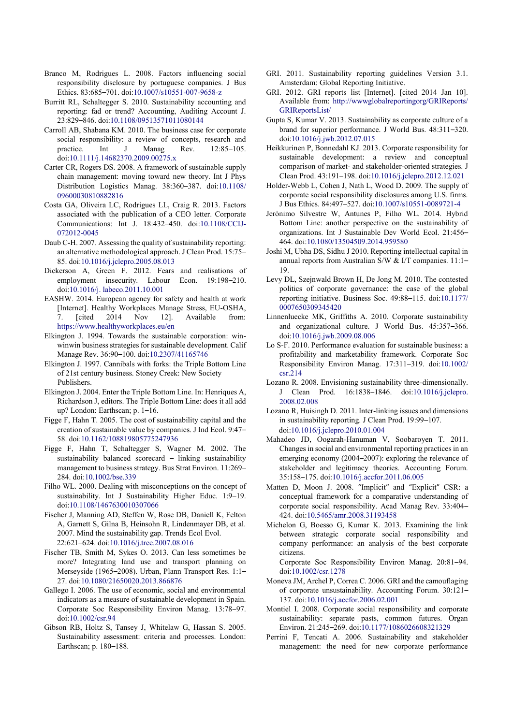- Branco M, Rodrigues L. 2008. Factors influencing social responsibility disclosure by portuguese companies. J Bus Ethics. 83:685–701. doi[:10.1007/s10551-007-9658-z](http://dx.doi.org/10.1007/s10551-007-9658-z)
- Burritt RL, Schaltegger S. 2010. Sustainability accounting and reporting: fad or trend? Accounting, Auditing Account J. 23:829–846. doi[:10.1108/09513571011080144](http://dx.doi.org/10.1108/09513571011080144)
- Carroll AB, Shabana KM. 2010. The business case for corporate social responsibility: a review of concepts, research and practice. Int J Manag Rev. 12:85–105. do[i:10.1111/j.14682370.2009.00275.x](http://dx.doi.org/10.1111/j.1468-2370.2009.00275.x)
- Carter CR, Rogers DS. 2008. A framework of sustainable supply chain management: moving toward new theory. Int J Phys Distribution Logistics Manag. 38:360–387. doi[:10.1108/](http://dx.doi.org/10.1108/09600030810882816)  [09600030810882816](http://dx.doi.org/10.1108/09600030810882816)
- Costa GA, Oliveira LC, Rodrigues LL, Craig R. 2013. Factors associated with the publication of a CEO letter. Corporate Communications: Int J. 18:432–450. doi[:10.1108/CCIJ-](http://dx.doi.org/10.1108/CCIJ-07-2012-0045)[072012-0045](http://dx.doi.org/10.1108/CCIJ-07-2012-0045)
- Daub C-H. 2007. Assessing the quality of sustainability reporting: an alternative methodological approach. J Clean Prod. 15:75– 85. doi[:10.1016/j.jclepro.2005.08.013](http://dx.doi.org/10.1016/j.jclepro.2005.08.013)
- Dickerson A, Green F. 2012. Fears and realisations of employment insecurity. Labour Econ. 19:198–210. do[i:10.1016/j. labeco.2011.10.001](http://dx.doi.org/10.1016/j.labeco.2011.10.001)
- EASHW. 2014. European agency for safety and health at work [Internet]. Healthy Workplaces Manage Stress, EU-OSHA, 7. [cited 2014 Nov 12]. Available from: [https://www.healthyworkplaces.eu/en](https://www.healthy-workplaces.eu/en)
- Elkington J. 1994. Towards the sustainable corporation: winwinwin business strategies for sustainable development. Calif Manage Rev. 36:90–100. doi[:10.2307/41165746](http://dx.doi.org/10.2307/41165746)
- Elkington J. 1997. Cannibals with forks: the Triple Bottom Line of 21st century business. Stoney Creek: New Society Publishers.
- Elkington J. 2004. Enter the Triple Bottom Line. In: Henriques A, Richardson J, editors. The Triple Bottom Line: does it all add up? London: Earthscan; p. 1–16.
- Figge F, Hahn T. 2005. The cost of sustainability capital and the creation of sustainable value by companies. J Ind Ecol. 9:47– 58. doi[:10.1162/108819805775247936](http://dx.doi.org/10.1162/108819805775247936)
- Figge F, Hahn T, Schaltegger S, Wagner M. 2002. The sustainability balanced scorecard – linking sustainability management to business strategy. Bus Strat Environ. 11:269– 284. do[i:10.1002/bse.339](http://dx.doi.org/10.1002/bse.339)
- Filho WL. 2000. Dealing with misconceptions on the concept of sustainability. Int J Sustainability Higher Educ. 1:9–19. do[i:10.1108/1467630010307066](http://dx.doi.org/10.1108/1467630010307066)
- Fischer J, Manning AD, Steffen W, Rose DB, Daniell K, Felton A, Garnett S, Gilna B, Heinsohn R, Lindenmayer DB, et al. 2007. Mind the sustainability gap. Trends Ecol Evol. 22:621–624. do[i:10.1016/j.tree.2007.08.016](http://dx.doi.org/10.1016/j.tree.2007.08.016)
- Fischer TB, Smith M, Sykes O. 2013. Can less sometimes be more? Integrating land use and transport planning on Merseyside (1965–2008). Urban, Plann Transport Res. 1:1– 27. doi[:10.1080/21650020.2013.866876](http://dx.doi.org/10.1080/21650020.2013.866876)
- Gallego I. 2006. The use of economic, social and environmental indicators as a measure of sustainable development in Spain. Corporate Soc Responsibility Environ Manag. 13:78–97. do[i:10.1002/csr.94](http://dx.doi.org/10.1002/csr.94)
- Gibson RB, Holtz S, Tansey J, Whitelaw G, Hassan S. 2005. Sustainability assessment: criteria and processes. London: Earthscan; p. 180–188.
- GRI. 2011. Sustainability reporting guidelines Version 3.1. Amsterdam: Global Reporting Initiative.
- GRI. 2012. GRI reports list [Internet]. [cited 2014 Jan 10]. Available from: [http://wwwglobalreportingorg/GRIReports/](http://wwwglobalreportingorg/GRIReports/GRIReportsList/)  [GRIReportsList/](http://wwwglobalreportingorg/GRIReports/GRIReportsList/)
- Gupta S, Kumar V. 2013. Sustainability as corporate culture of a brand for superior performance. J World Bus. 48:311–320. doi[:10.1016/j.jwb.2012.07.015](http://dx.doi.org/10.1016/j.jwb.2012.07.015)
- Heikkurinen P, Bonnedahl KJ. 2013. Corporate responsibility for sustainable development: a review and conceptual comparison of market- and stakeholder-oriented strategies. J Clean Prod. 43:191–198. do[i:10.1016/j.jclepro.2012.12.021](http://dx.doi.org/10.1016/j.jclepro.2012.12.021)
- Holder-Webb L, Cohen J, Nath L, Wood D. 2009. The supply of corporate social responsibility disclosures among U.S. firms. J Bus Ethics. 84:497–527. doi[:10.1007/s10551-0089721-4](http://dx.doi.org/10.1007/s10551-008-9721-4)
- Jerónimo Silvestre W, Antunes P, Filho WL. 2014. Hybrid Bottom Line: another perspective on the sustainability of organizations. Int J Sustainable Dev World Ecol. 21:456– 464. doi[:10.1080/13504509.2014.959580](http://dx.doi.org/10.1080/13504509.2014.959580)
- Joshi M, Ubha DS, Sidhu J 2010. Reporting intellectual capital in annual reports from Australian S/W & I/T companies. 11:1– 19.
- Levy DL, Szejnwald Brown H, De Jong M. 2010. The contested politics of corporate governance: the case of the global reporting initiative. Business Soc. 49:88–115. do[i:10.1177/](http://dx.doi.org/10.1177/0007650309345420)  [0007650309345420](http://dx.doi.org/10.1177/0007650309345420)
- Linnenluecke MK, Griffiths A. 2010. Corporate sustainability and organizational culture. J World Bus. 45:357–366. doi[:10.1016/j.jwb.2009.08.006](http://dx.doi.org/10.1016/j.jwb.2009.08.006)
- Lo S-F. 2010. Performance evaluation for sustainable business: a profitability and marketability framework. Corporate Soc Responsibility Environ Manag. 17:311–319. do[i:10.1002/](http://dx.doi.org/10.1002/csr.214)  [csr.214](http://dx.doi.org/10.1002/csr.214)
- Lozano R. 2008. Envisioning sustainability three-dimensionally. J Clean Prod. 16:1838–1846. do[i:10.1016/j.jclepro.](http://dx.doi.org/10.1016/j.jclepro.2008.02.008)  [2008.02.008](http://dx.doi.org/10.1016/j.jclepro.2008.02.008)
- Lozano R, Huisingh D. 2011. Inter-linking issues and dimensions in sustainability reporting. J Clean Prod. 19:99–107. doi[:10.1016/j.jclepro.2010.01.004](http://dx.doi.org/10.1016/j.jclepro.2010.01.004)
- Mahadeo JD, Oogarah-Hanuman V, Soobaroyen T. 2011. Changes in social and environmental reporting practices in an emerging economy (2004–2007): exploring the relevance of stakeholder and legitimacy theories. Accounting Forum. 35:158–175. doi[:10.1016/j.accfor.2011.06.005](http://dx.doi.org/10.1016/j.accfor.2011.06.005)
- Matten D, Moon J. 2008. "Implicit" and "Explicit" CSR: a conceptual framework for a comparative understanding of corporate social responsibility. Acad Manag Rev. 33:404– 424. doi[:10.5465/amr.2008.31193458](http://dx.doi.org/10.5465/amr.2008.31193458)
- Michelon G, Boesso G, Kumar K. 2013. Examining the link between strategic corporate social responsibility and company performance: an analysis of the best corporate citizens.

Corporate Soc Responsibility Environ Manag. 20:81–94. do[i:10.1002/csr.1278](http://dx.doi.org/10.1002/csr.1278)

- Moneva JM, Archel P, Correa C. 2006. GRI and the camouflaging of corporate unsustainability. Accounting Forum. 30:121– 137. doi[:10.1016/j.accfor.2006.02.001](http://dx.doi.org/10.1016/j.accfor.2006.02.001)
- Montiel I. 2008. Corporate social responsibility and corporate sustainability: separate pasts, common futures. Organ Environ. 21:245–269. doi[:10.1177/1086026608321329](http://dx.doi.org/10.1177/1086026608321329)
- Perrini F, Tencati A. 2006. Sustainability and stakeholder management: the need for new corporate performance